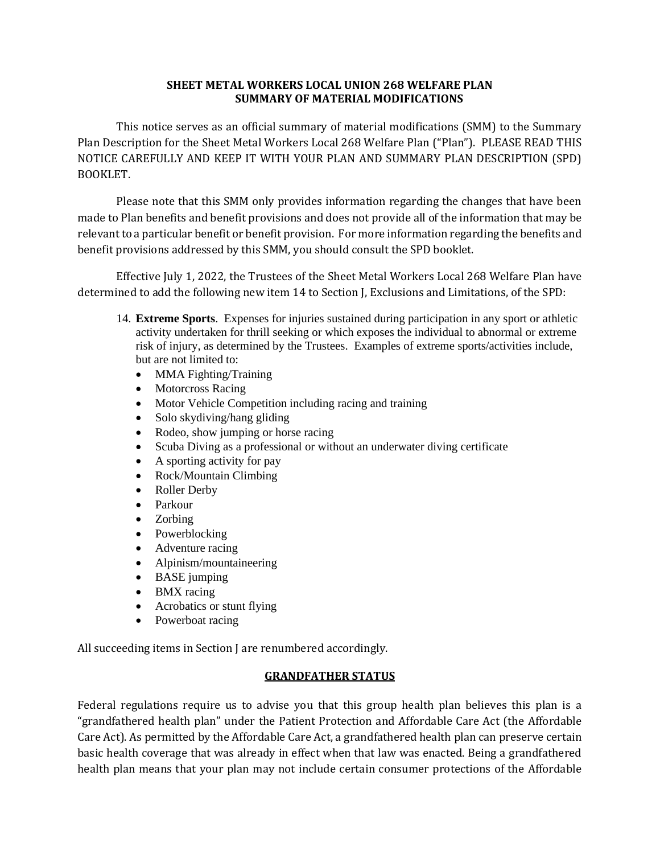## **SHEET METAL WORKERS LOCAL UNION 268 WELFARE PLAN SUMMARY OF MATERIAL MODIFICATIONS**

This notice serves as an official summary of material modifications (SMM) to the Summary Plan Description for the Sheet Metal Workers Local 268 Welfare Plan ("Plan"). PLEASE READ THIS NOTICE CAREFULLY AND KEEP IT WITH YOUR PLAN AND SUMMARY PLAN DESCRIPTION (SPD) BOOKLET.

Please note that this SMM only provides information regarding the changes that have been made to Plan benefits and benefit provisions and does not provide all of the information that may be relevant to a particular benefit or benefit provision. For more information regarding the benefits and benefit provisions addressed by this SMM, you should consult the SPD booklet.

 Effective July 1, 2022, the Trustees of the Sheet Metal Workers Local 268 Welfare Plan have determined to add the following new item 14 to Section J, Exclusions and Limitations, of the SPD:

- 14. **Extreme Sports**. Expenses for injuries sustained during participation in any sport or athletic activity undertaken for thrill seeking or which exposes the individual to abnormal or extreme risk of injury, as determined by the Trustees. Examples of extreme sports/activities include, but are not limited to:
	- MMA Fighting/Training
	- Motorcross Racing
	- Motor Vehicle Competition including racing and training
	- Solo skydiving/hang gliding
	- Rodeo, show jumping or horse racing
	- Scuba Diving as a professional or without an underwater diving certificate
	- A sporting activity for pay
	- Rock/Mountain Climbing
	- Roller Derby
	- Parkour
	- Zorbing
	- Powerblocking
	- Adventure racing
	- Alpinism/mountaineering
	- BASE jumping
	- BMX racing
	- Acrobatics or stunt flying
	- Powerboat racing

All succeeding items in Section J are renumbered accordingly.

## **GRANDFATHER STATUS**

Federal regulations require us to advise you that this group health plan believes this plan is a "grandfathered health plan" under the Patient Protection and Affordable Care Act (the Affordable Care Act). As permitted by the Affordable Care Act, a grandfathered health plan can preserve certain basic health coverage that was already in effect when that law was enacted. Being a grandfathered health plan means that your plan may not include certain consumer protections of the Affordable